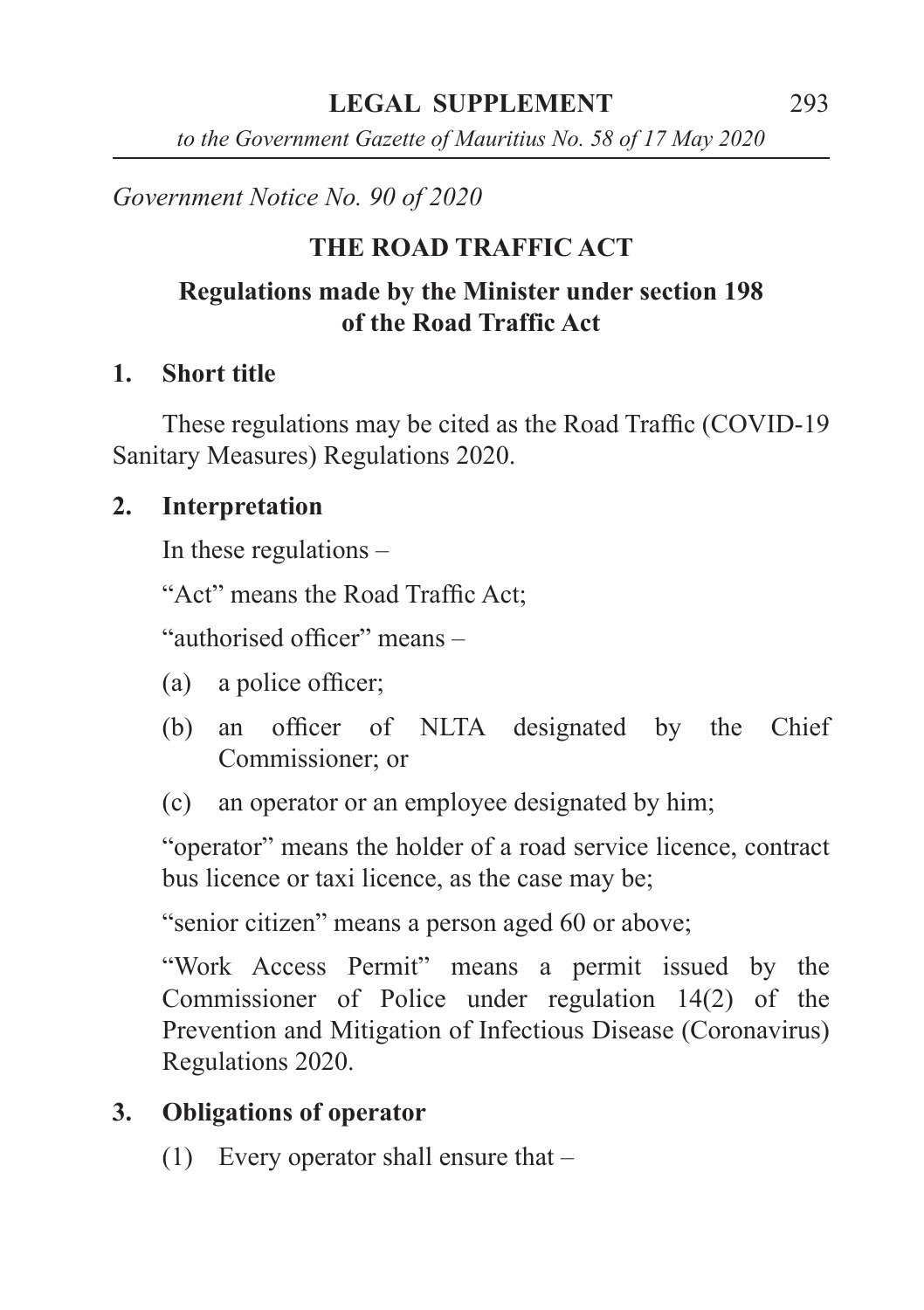*to the Government Gazette of Mauritius No. 58 of 17 May 2020*

# *Government Notice No. 90 of 2020*

# **THE ROAD TRAFFIC ACT**

# **Regulations made by the Minister under section 198 of the Road Traffic Act**

# **1. Short title**

These regulations may be cited as the Road Traffic (COVID-19 Sanitary Measures) Regulations 2020.

# **2. Interpretation**

In these regulations –

"Act" means the Road Traffic Act;

"authorised officer" means –

- (a) a police officer;
- (b) an officer of NLTA designated by the Chief Commissioner; or
- (c) an operator or an employee designated by him;

"operator" means the holder of a road service licence, contract bus licence or taxi licence, as the case may be;

"senior citizen" means a person aged 60 or above;

"Work Access Permit" means a permit issued by the Commissioner of Police under regulation 14(2) of the Prevention and Mitigation of Infectious Disease (Coronavirus) Regulations 2020.

# **3. Obligations of operator**

(1) Every operator shall ensure that –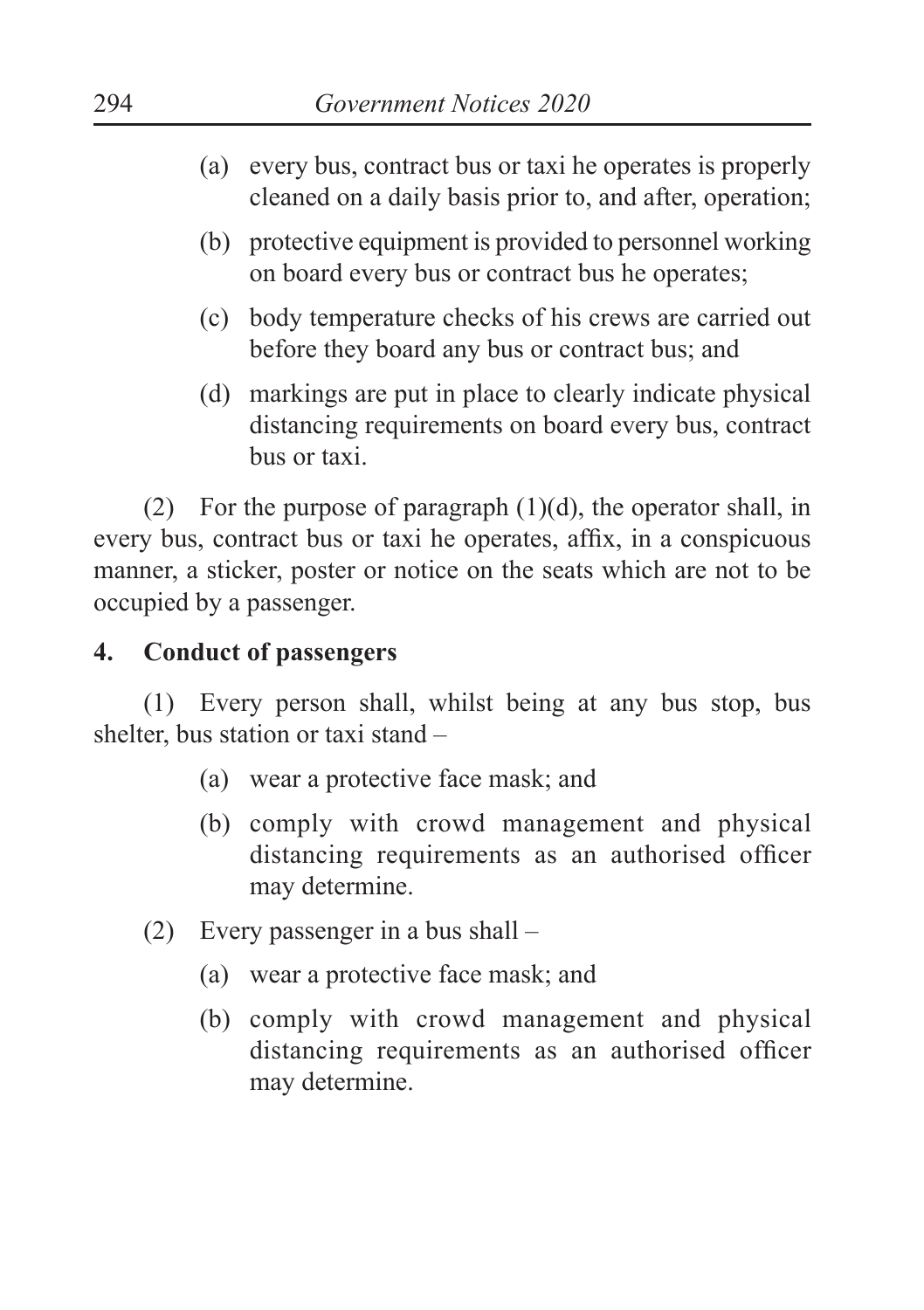- (a) every bus, contract bus or taxi he operates is properly cleaned on a daily basis prior to, and after, operation;
- (b) protective equipment is provided to personnel working on board every bus or contract bus he operates;
- (c) body temperature checks of his crews are carried out before they board any bus or contract bus; and
- (d) markings are put in place to clearly indicate physical distancing requirements on board every bus, contract bus or taxi.

(2) For the purpose of paragraph  $(1)(d)$ , the operator shall, in every bus, contract bus or taxi he operates, affix, in a conspicuous manner, a sticker, poster or notice on the seats which are not to be occupied by a passenger.

# **4. Conduct of passengers**

(1) Every person shall, whilst being at any bus stop, bus shelter, bus station or taxi stand –

- (a) wear a protective face mask; and
- (b) comply with crowd management and physical distancing requirements as an authorised officer may determine.
- (2) Every passenger in a bus shall
	- (a) wear a protective face mask; and
	- (b) comply with crowd management and physical distancing requirements as an authorised officer may determine.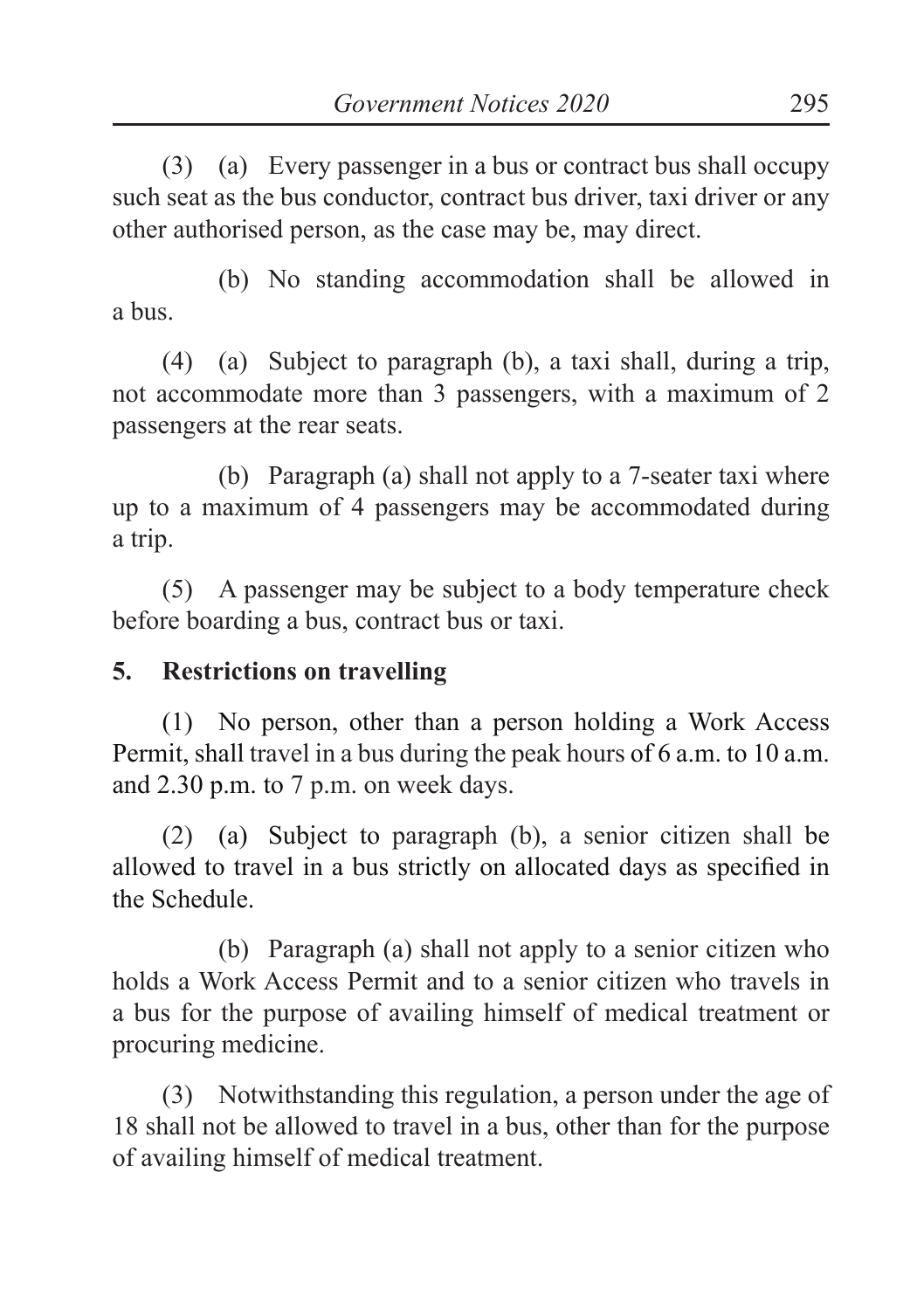(3) (a) Every passenger in a bus or contract bus shall occupy such seat as the bus conductor, contract bus driver, taxi driver or any other authorised person, as the case may be, may direct.

(b) No standing accommodation shall be allowed in a bus.

(4) (a) Subject to paragraph (b), a taxi shall, during a trip, not accommodate more than 3 passengers, with a maximum of 2 passengers at the rear seats.

(b) Paragraph (a) shall not apply to a 7-seater taxi where up to a maximum of 4 passengers may be accommodated during a trip.

(5) A passenger may be subject to a body temperature check before boarding a bus, contract bus or taxi.

### **5. Restrictions on travelling**

(1) No person, other than a person holding a Work Access Permit, shall travel in a bus during the peak hours of 6 a.m. to 10 a.m. and 2.30 p.m. to 7 p.m. on week days.

(2) (a) Subject to paragraph (b), a senior citizen shall be allowed to travel in a bus strictly on allocated days as specified in the Schedule.

(b) Paragraph (a) shall not apply to a senior citizen who holds a Work Access Permit and to a senior citizen who travels in a bus for the purpose of availing himself of medical treatment or procuring medicine.

(3) Notwithstanding this regulation, a person under the age of 18 shall not be allowed to travel in a bus, other than for the purpose of availing himself of medical treatment.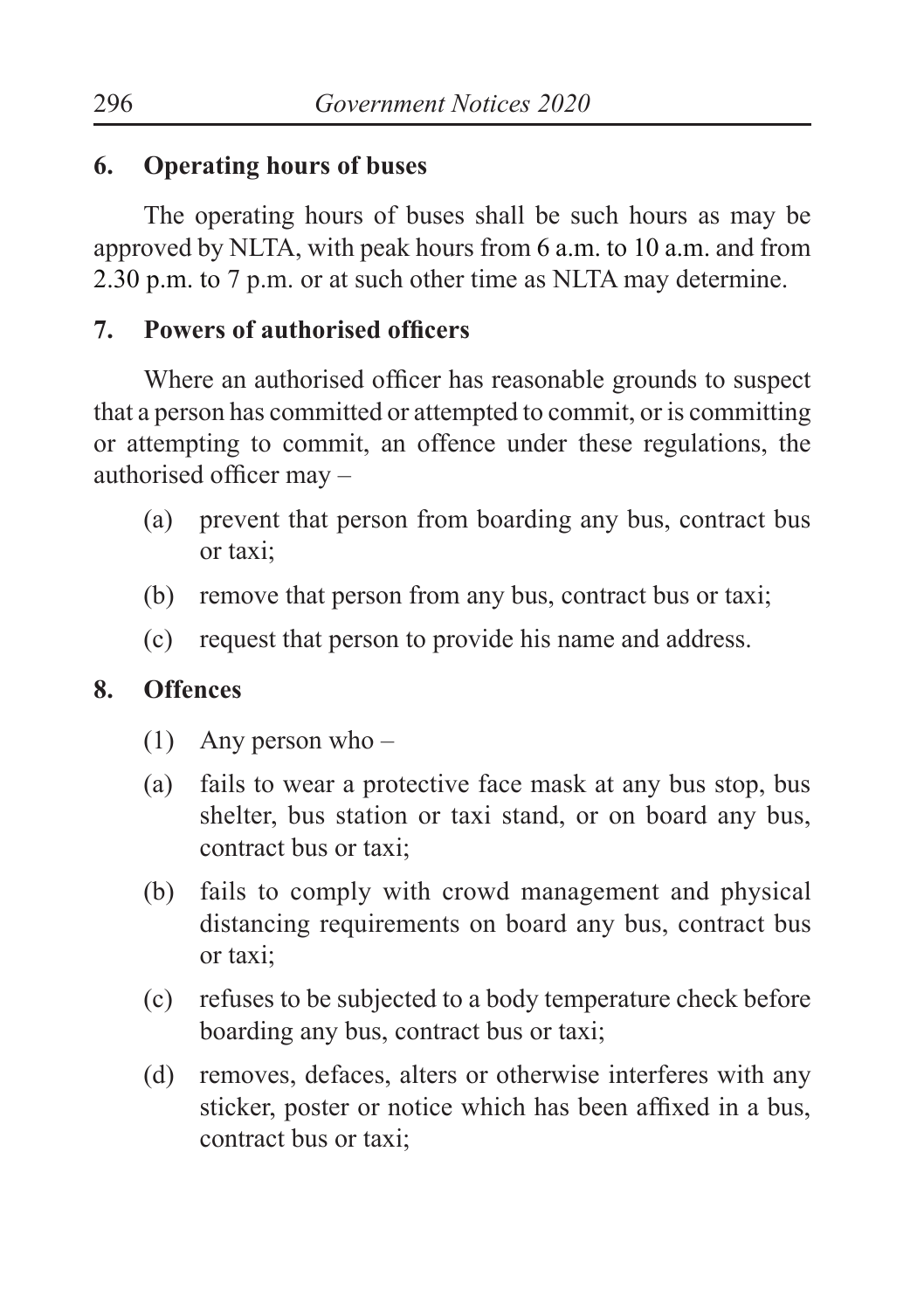#### **6. Operating hours of buses**

The operating hours of buses shall be such hours as may be approved by NLTA, with peak hours from 6 a.m. to 10 a.m. and from 2.30 p.m. to 7 p.m. or at such other time as NLTA may determine.

### **7. Powers of authorised officers**

Where an authorised officer has reasonable grounds to suspect that a person has committed or attempted to commit, or is committing or attempting to commit, an offence under these regulations, the authorised officer may –

- (a) prevent that person from boarding any bus, contract bus or taxi;
- (b) remove that person from any bus, contract bus or taxi;
- (c) request that person to provide his name and address.

### **8. Offences**

- (1) Any person who –
- (a) fails to wear a protective face mask at any bus stop, bus shelter, bus station or taxi stand, or on board any bus, contract bus or taxi;
- (b) fails to comply with crowd management and physical distancing requirements on board any bus, contract bus or taxi;
- (c) refuses to be subjected to a body temperature check before boarding any bus, contract bus or taxi;
- (d) removes, defaces, alters or otherwise interferes with any sticker, poster or notice which has been affixed in a bus, contract bus or taxi;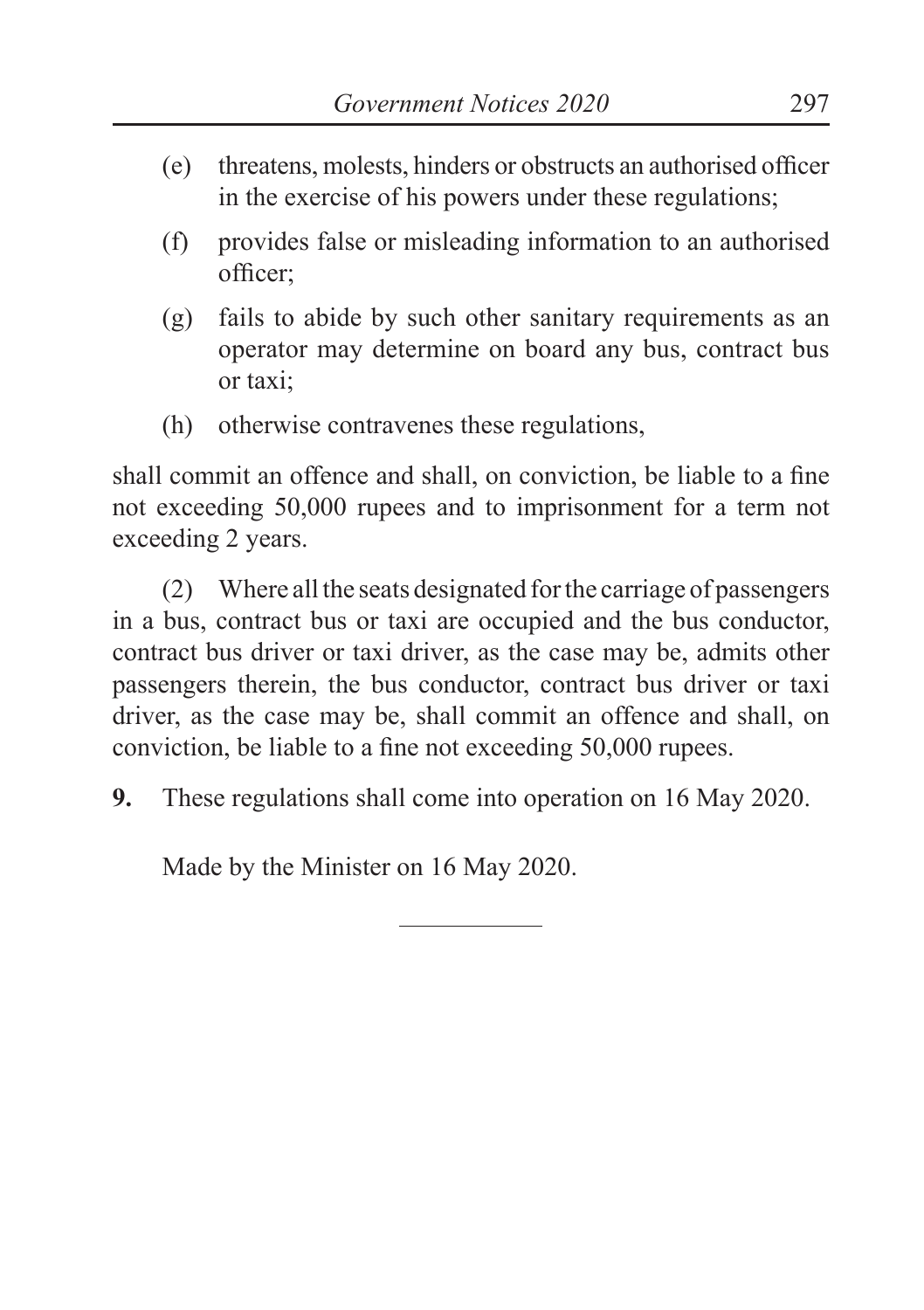- (e) threatens, molests, hinders or obstructs an authorised officer in the exercise of his powers under these regulations;
- (f) provides false or misleading information to an authorised officer;
- (g) fails to abide by such other sanitary requirements as an operator may determine on board any bus, contract bus or taxi;
- (h) otherwise contravenes these regulations,

shall commit an offence and shall, on conviction, be liable to a fine not exceeding 50,000 rupees and to imprisonment for a term not exceeding 2 years.

(2) Where all the seats designated for the carriage of passengers in a bus, contract bus or taxi are occupied and the bus conductor, contract bus driver or taxi driver, as the case may be, admits other passengers therein, the bus conductor, contract bus driver or taxi driver, as the case may be, shall commit an offence and shall, on conviction, be liable to a fine not exceeding 50,000 rupees.

**9.** These regulations shall come into operation on 16 May 2020.

Made by the Minister on 16 May 2020.